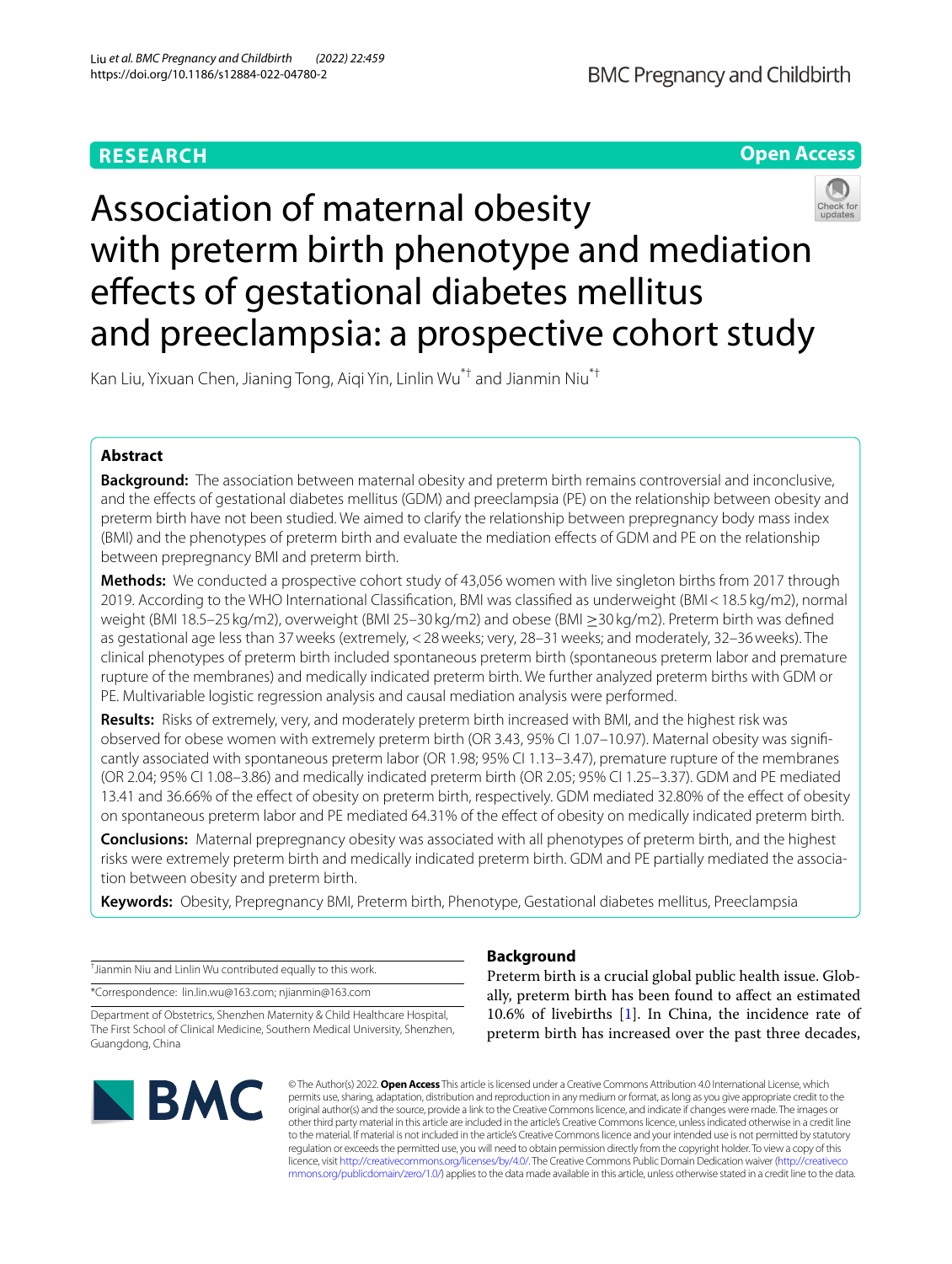# **RESEARCH**



# Association of maternal obesity with preterm birth phenotype and mediation effects of gestational diabetes mellitus and preeclampsia: a prospective cohort study

Kan Liu, Yixuan Chen, Jianing Tong, Aiqi Yin, Linlin Wu\*† and Jianmin Niu\*†

# **Abstract**

**Background:** The association between maternal obesity and preterm birth remains controversial and inconclusive, and the efects of gestational diabetes mellitus (GDM) and preeclampsia (PE) on the relationship between obesity and preterm birth have not been studied. We aimed to clarify the relationship between prepregnancy body mass index (BMI) and the phenotypes of preterm birth and evaluate the mediation efects of GDM and PE on the relationship between prepregnancy BMI and preterm birth.

**Methods:** We conducted a prospective cohort study of 43,056 women with live singleton births from 2017 through 2019. According to the WHO International Classifcation, BMI was classifed as underweight (BMI<18.5 kg/m2), normal weight (BMI 18.5–25 kg/m2), overweight (BMI 25–30 kg/m2) and obese (BMI ≥30 kg/m2). Preterm birth was defned as gestational age less than 37weeks (extremely, <28weeks; very, 28–31weeks; and moderately, 32–36weeks). The clinical phenotypes of preterm birth included spontaneous preterm birth (spontaneous preterm labor and premature rupture of the membranes) and medically indicated preterm birth. We further analyzed preterm births with GDM or PE. Multivariable logistic regression analysis and causal mediation analysis were performed.

**Results:** Risks of extremely, very, and moderately preterm birth increased with BMI, and the highest risk was observed for obese women with extremely preterm birth (OR 3.43, 95% CI 1.07–10.97). Maternal obesity was signifcantly associated with spontaneous preterm labor (OR 1.98; 95% CI 1.13–3.47), premature rupture of the membranes (OR 2.04; 95% CI 1.08–3.86) and medically indicated preterm birth (OR 2.05; 95% CI 1.25–3.37). GDM and PE mediated 13.41 and 36.66% of the efect of obesity on preterm birth, respectively. GDM mediated 32.80% of the efect of obesity on spontaneous preterm labor and PE mediated 64.31% of the efect of obesity on medically indicated preterm birth.

**Conclusions:** Maternal prepregnancy obesity was associated with all phenotypes of preterm birth, and the highest risks were extremely preterm birth and medically indicated preterm birth. GDM and PE partially mediated the association between obesity and preterm birth.

**Keywords:** Obesity, Prepregnancy BMI, Preterm birth, Phenotype, Gestational diabetes mellitus, Preeclampsia

† Jianmin Niu and Linlin Wu contributed equally to this work.

\*Correspondence: lin.lin.wu@163.com; njianmin@163.com

Department of Obstetrics, Shenzhen Maternity & Child Healthcare Hospital, The First School of Clinical Medicine, Southern Medical University, Shenzhen, Guangdong, China



# **Background**

Preterm birth is a crucial global public health issue. Globally, preterm birth has been found to afect an estimated 10.6% of livebirths [[1\]](#page-7-0). In China, the incidence rate of preterm birth has increased over the past three decades,

© The Author(s) 2022. **Open Access** This article is licensed under a Creative Commons Attribution 4.0 International License, which permits use, sharing, adaptation, distribution and reproduction in any medium or format, as long as you give appropriate credit to the original author(s) and the source, provide a link to the Creative Commons licence, and indicate if changes were made. The images or other third party material in this article are included in the article's Creative Commons licence, unless indicated otherwise in a credit line to the material. If material is not included in the article's Creative Commons licence and your intended use is not permitted by statutory regulation or exceeds the permitted use, you will need to obtain permission directly from the copyright holder. To view a copy of this licence, visit [http://creativecommons.org/licenses/by/4.0/.](http://creativecommons.org/licenses/by/4.0/) The Creative Commons Public Domain Dedication waiver ([http://creativeco](http://creativecommons.org/publicdomain/zero/1.0/) [mmons.org/publicdomain/zero/1.0/](http://creativecommons.org/publicdomain/zero/1.0/)) applies to the data made available in this article, unless otherwise stated in a credit line to the data.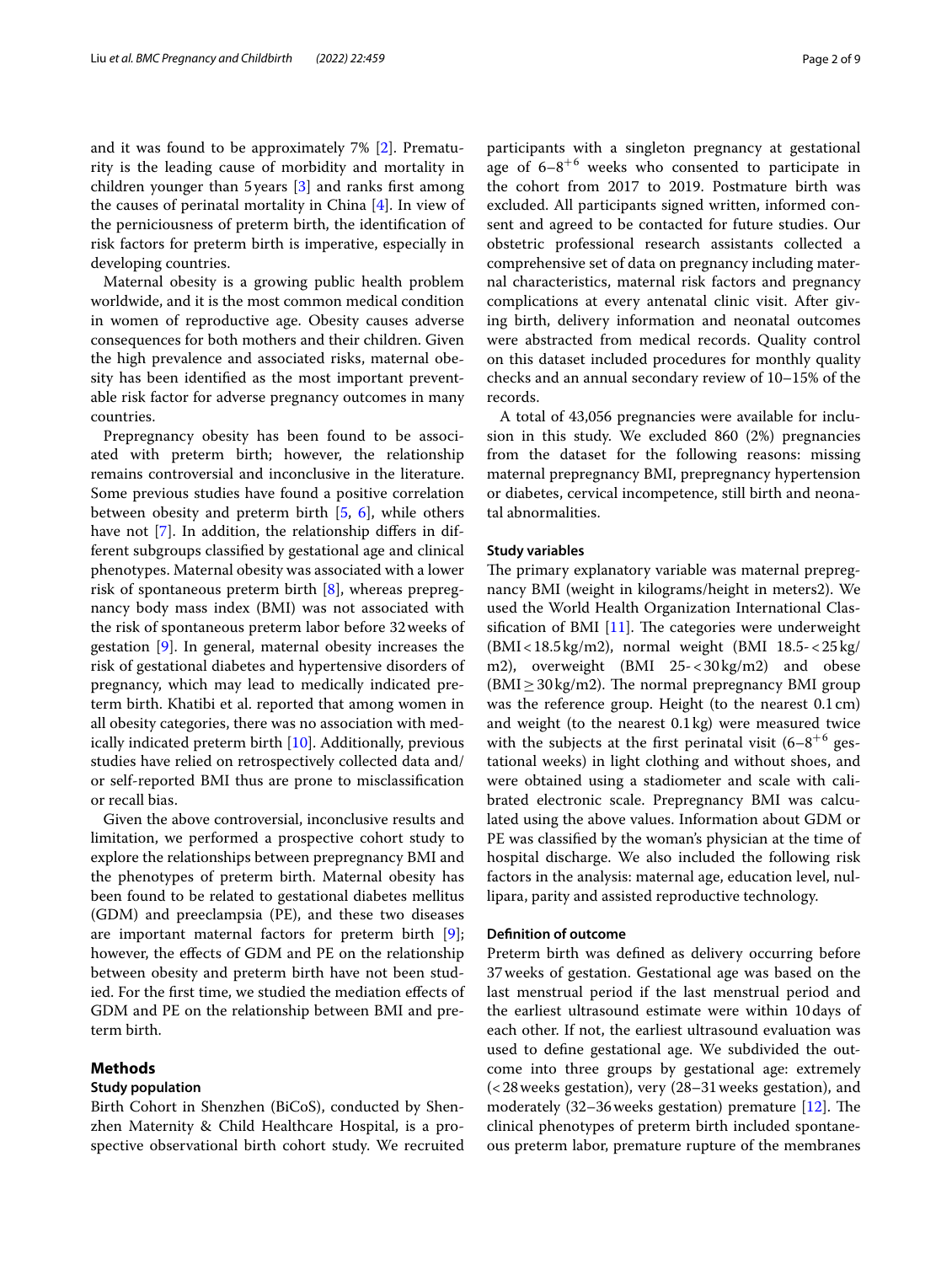and it was found to be approximately 7% [\[2](#page-7-1)]. Prematurity is the leading cause of morbidity and mortality in children younger than 5years [[3\]](#page-7-2) and ranks frst among the causes of perinatal mortality in China [[4](#page-7-3)]. In view of the perniciousness of preterm birth, the identifcation of risk factors for preterm birth is imperative, especially in developing countries.

Maternal obesity is a growing public health problem worldwide, and it is the most common medical condition in women of reproductive age. Obesity causes adverse consequences for both mothers and their children. Given the high prevalence and associated risks, maternal obesity has been identifed as the most important preventable risk factor for adverse pregnancy outcomes in many countries.

Prepregnancy obesity has been found to be associated with preterm birth; however, the relationship remains controversial and inconclusive in the literature. Some previous studies have found a positive correlation between obesity and preterm birth [[5,](#page-7-4) [6](#page-7-5)], while others have not [[7\]](#page-7-6). In addition, the relationship differs in different subgroups classifed by gestational age and clinical phenotypes. Maternal obesity was associated with a lower risk of spontaneous preterm birth [[8\]](#page-7-7), whereas prepregnancy body mass index (BMI) was not associated with the risk of spontaneous preterm labor before 32weeks of gestation [[9\]](#page-7-8). In general, maternal obesity increases the risk of gestational diabetes and hypertensive disorders of pregnancy, which may lead to medically indicated preterm birth. Khatibi et al. reported that among women in all obesity categories, there was no association with medically indicated preterm birth [[10\]](#page-7-9). Additionally, previous studies have relied on retrospectively collected data and/ or self-reported BMI thus are prone to misclassifcation or recall bias.

Given the above controversial, inconclusive results and limitation, we performed a prospective cohort study to explore the relationships between prepregnancy BMI and the phenotypes of preterm birth. Maternal obesity has been found to be related to gestational diabetes mellitus (GDM) and preeclampsia (PE), and these two diseases are important maternal factors for preterm birth [\[9](#page-7-8)]; however, the efects of GDM and PE on the relationship between obesity and preterm birth have not been studied. For the frst time, we studied the mediation efects of GDM and PE on the relationship between BMI and preterm birth.

#### **Methods**

#### **Study population**

Birth Cohort in Shenzhen (BiCoS), conducted by Shenzhen Maternity & Child Healthcare Hospital, is a prospective observational birth cohort study. We recruited participants with a singleton pregnancy at gestational age of  $6-8^{+6}$  weeks who consented to participate in

the cohort from 2017 to 2019. Postmature birth was excluded. All participants signed written, informed consent and agreed to be contacted for future studies. Our obstetric professional research assistants collected a comprehensive set of data on pregnancy including maternal characteristics, maternal risk factors and pregnancy complications at every antenatal clinic visit. After giving birth, delivery information and neonatal outcomes were abstracted from medical records. Quality control on this dataset included procedures for monthly quality checks and an annual secondary review of 10–15% of the records.

A total of 43,056 pregnancies were available for inclusion in this study. We excluded 860 (2%) pregnancies from the dataset for the following reasons: missing maternal prepregnancy BMI, prepregnancy hypertension or diabetes, cervical incompetence, still birth and neonatal abnormalities.

### **Study variables**

The primary explanatory variable was maternal prepregnancy BMI (weight in kilograms/height in meters2). We used the World Health Organization International Classification of BMI  $[11]$  $[11]$ . The categories were underweight  $(BMI < 18.5 \text{ kg/m2})$ , normal weight  $(BMI 18.5 < 25 \text{ kg})$ m2), overweight (BMI 25-<30kg/m2) and obese  $(BMI \geq 30 \text{ kg/m2})$ . The normal prepregnancy BMI group was the reference group. Height (to the nearest 0.1cm) and weight (to the nearest 0.1kg) were measured twice with the subjects at the first perinatal visit  $(6-8)^{+6}$  gestational weeks) in light clothing and without shoes, and were obtained using a stadiometer and scale with calibrated electronic scale. Prepregnancy BMI was calculated using the above values. Information about GDM or PE was classifed by the woman's physician at the time of hospital discharge. We also included the following risk factors in the analysis: maternal age, education level, nullipara, parity and assisted reproductive technology.

#### **Defnition of outcome**

Preterm birth was defned as delivery occurring before 37weeks of gestation. Gestational age was based on the last menstrual period if the last menstrual period and the earliest ultrasound estimate were within 10days of each other. If not, the earliest ultrasound evaluation was used to defne gestational age. We subdivided the outcome into three groups by gestational age: extremely (<28weeks gestation), very (28–31weeks gestation), and moderately  $(32-36$  weeks gestation) premature [[12\]](#page-7-11). The clinical phenotypes of preterm birth included spontaneous preterm labor, premature rupture of the membranes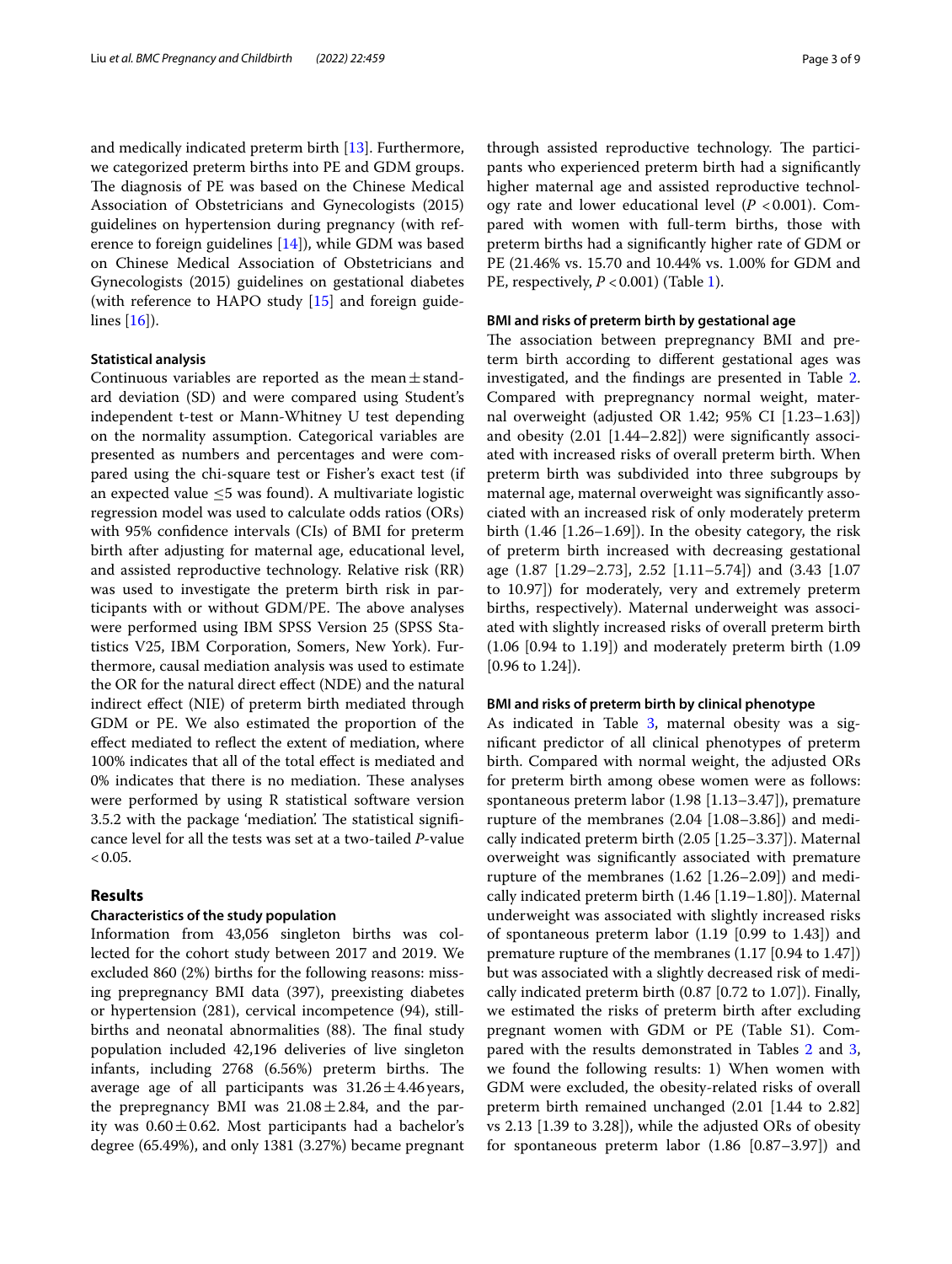and medically indicated preterm birth [\[13\]](#page-7-12). Furthermore, we categorized preterm births into PE and GDM groups. The diagnosis of PE was based on the Chinese Medical Association of Obstetricians and Gynecologists (2015) guidelines on hypertension during pregnancy (with reference to foreign guidelines [[14](#page-7-13)]), while GDM was based on Chinese Medical Association of Obstetricians and Gynecologists (2015) guidelines on gestational diabetes (with reference to HAPO study [\[15\]](#page-7-14) and foreign guidelines [\[16\]](#page-7-15)).

#### **Statistical analysis**

Continuous variables are reported as the mean $\pm$ standard deviation (SD) and were compared using Student's independent t-test or Mann-Whitney U test depending on the normality assumption. Categorical variables are presented as numbers and percentages and were compared using the chi-square test or Fisher's exact test (if an expected value  $\leq$ 5 was found). A multivariate logistic regression model was used to calculate odds ratios (ORs) with 95% confdence intervals (CIs) of BMI for preterm birth after adjusting for maternal age, educational level, and assisted reproductive technology. Relative risk (RR) was used to investigate the preterm birth risk in participants with or without GDM/PE. The above analyses were performed using IBM SPSS Version 25 (SPSS Statistics V25, IBM Corporation, Somers, New York). Furthermore, causal mediation analysis was used to estimate the OR for the natural direct efect (NDE) and the natural indirect efect (NIE) of preterm birth mediated through GDM or PE. We also estimated the proportion of the efect mediated to refect the extent of mediation, where 100% indicates that all of the total efect is mediated and 0% indicates that there is no mediation. These analyses were performed by using R statistical software version 3.5.2 with the package 'mediation'. The statistical significance level for all the tests was set at a two-tailed *P*-value  $< 0.05.$ 

# **Results**

## **Characteristics of the study population**

Information from 43,056 singleton births was collected for the cohort study between 2017 and 2019. We excluded 860 (2%) births for the following reasons: missing prepregnancy BMI data (397), preexisting diabetes or hypertension (281), cervical incompetence (94), stillbirths and neonatal abnormalities (88). The final study population included 42,196 deliveries of live singleton infants, including 2768 (6.56%) preterm births. The average age of all participants was  $31.26 \pm 4.46$  years, the prepregnancy BMI was  $21.08 \pm 2.84$ , and the parity was  $0.60 \pm 0.62$ . Most participants had a bachelor's degree (65.49%), and only 1381 (3.27%) became pregnant

through assisted reproductive technology. The participants who experienced preterm birth had a signifcantly higher maternal age and assisted reproductive technology rate and lower educational level  $(P < 0.001)$ . Compared with women with full-term births, those with preterm births had a signifcantly higher rate of GDM or PE (21.46% vs. 15.70 and 10.44% vs. 1.00% for GDM and PE, respectively,  $P < 0.001$ ) (Table [1\)](#page-3-0).

# **BMI and risks of preterm birth by gestational age**

The association between prepregnancy BMI and preterm birth according to diferent gestational ages was investigated, and the fndings are presented in Table [2](#page-4-0). Compared with prepregnancy normal weight, maternal overweight (adjusted OR 1.42; 95% CI [1.23–1.63]) and obesity (2.01 [1.44–2.82]) were signifcantly associated with increased risks of overall preterm birth. When preterm birth was subdivided into three subgroups by maternal age, maternal overweight was signifcantly associated with an increased risk of only moderately preterm birth (1.46 [1.26–1.69]). In the obesity category, the risk of preterm birth increased with decreasing gestational age (1.87 [1.29–2.73], 2.52 [1.11–5.74]) and (3.43 [1.07 to 10.97]) for moderately, very and extremely preterm births, respectively). Maternal underweight was associated with slightly increased risks of overall preterm birth (1.06 [0.94 to 1.19]) and moderately preterm birth (1.09 [0.96 to 1.24]).

### **BMI and risks of preterm birth by clinical phenotype**

As indicated in Table [3,](#page-4-1) maternal obesity was a signifcant predictor of all clinical phenotypes of preterm birth. Compared with normal weight, the adjusted ORs for preterm birth among obese women were as follows: spontaneous preterm labor (1.98 [1.13–3.47]), premature rupture of the membranes (2.04 [1.08–3.86]) and medically indicated preterm birth (2.05 [1.25–3.37]). Maternal overweight was signifcantly associated with premature rupture of the membranes (1.62 [1.26–2.09]) and medically indicated preterm birth (1.46 [1.19–1.80]). Maternal underweight was associated with slightly increased risks of spontaneous preterm labor (1.19 [0.99 to 1.43]) and premature rupture of the membranes (1.17 [0.94 to 1.47]) but was associated with a slightly decreased risk of medically indicated preterm birth (0.87 [0.72 to 1.07]). Finally, we estimated the risks of preterm birth after excluding pregnant women with GDM or PE (Table S1). Com-pared with the results demonstrated in Tables [2](#page-4-0) and [3](#page-4-1), we found the following results: 1) When women with GDM were excluded, the obesity-related risks of overall preterm birth remained unchanged (2.01 [1.44 to 2.82] vs 2.13 [1.39 to 3.28]), while the adjusted ORs of obesity for spontaneous preterm labor (1.86 [0.87–3.97]) and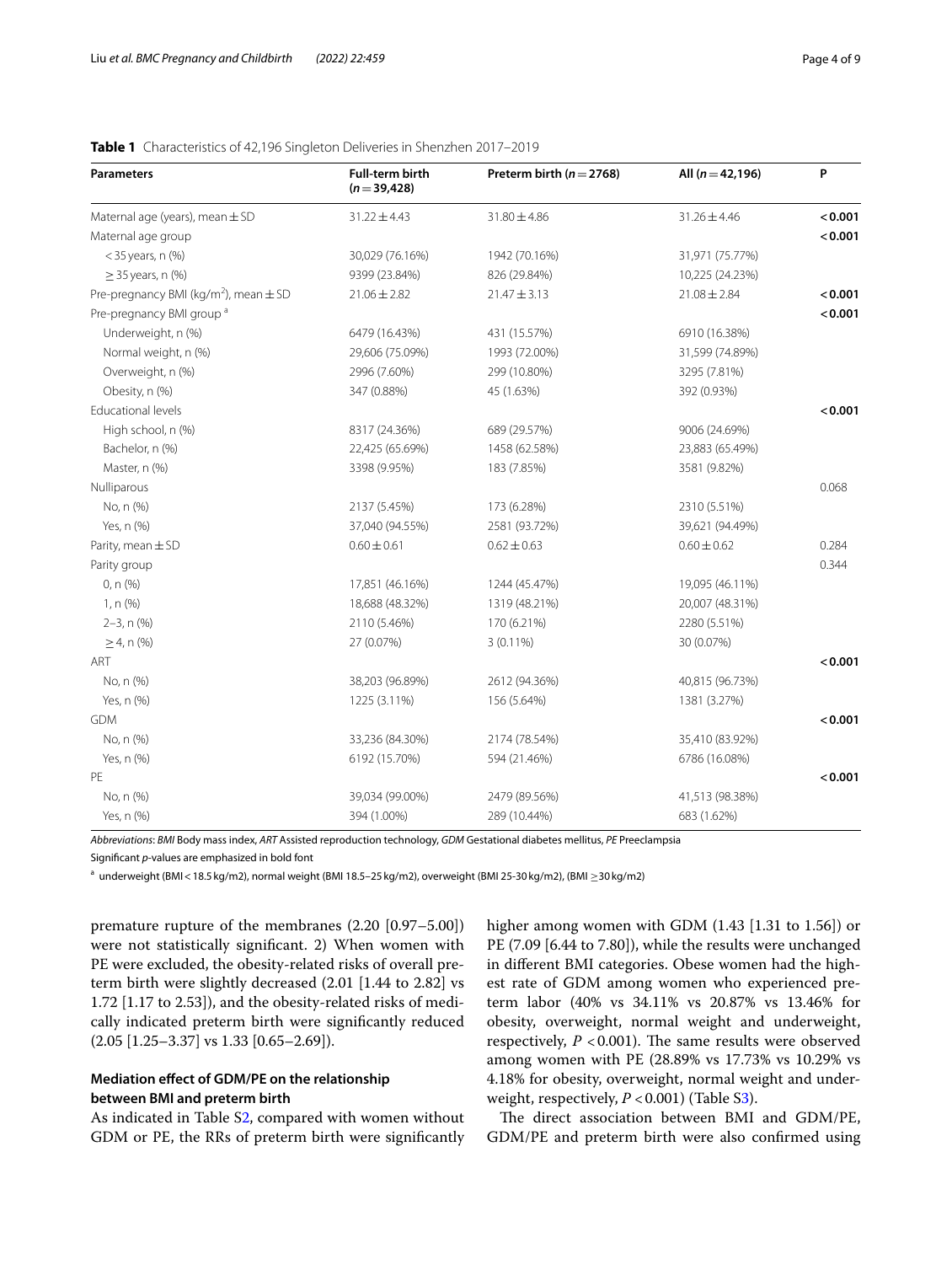| <b>Parameters</b>                                     | <b>Full-term birth</b><br>$(n=39, 428)$ | Preterm birth ( $n = 2768$ ) | All $(n=42, 196)$ | P       |
|-------------------------------------------------------|-----------------------------------------|------------------------------|-------------------|---------|
| Maternal age (years), mean $\pm$ SD                   | $31.22 \pm 4.43$                        | $31.80 \pm 4.86$             | $31.26 \pm 4.46$  | < 0.001 |
| Maternal age group                                    |                                         |                              |                   | < 0.001 |
| $<$ 35 years, n $(\%)$                                | 30,029 (76.16%)                         | 1942 (70.16%)                | 31,971 (75.77%)   |         |
| $\geq$ 35 years, n (%)                                | 9399 (23.84%)                           | 826 (29.84%)                 | 10,225 (24.23%)   |         |
| Pre-pregnancy BMI (kg/m <sup>2</sup> ), mean $\pm$ SD | $21.06 \pm 2.82$                        | $21.47 \pm 3.13$             | $21.08 \pm 2.84$  | < 0.001 |
| Pre-pregnancy BMI group <sup>a</sup>                  |                                         |                              |                   | < 0.001 |
| Underweight, n (%)                                    | 6479 (16.43%)                           | 431 (15.57%)                 | 6910 (16.38%)     |         |
| Normal weight, n (%)                                  | 29,606 (75.09%)                         | 1993 (72.00%)                | 31,599 (74.89%)   |         |
| Overweight, n (%)                                     | 2996 (7.60%)                            | 299 (10.80%)                 | 3295 (7.81%)      |         |
| Obesity, n (%)                                        | 347 (0.88%)                             | 45 (1.63%)                   | 392 (0.93%)       |         |
| <b>Educational levels</b>                             |                                         |                              |                   | < 0.001 |
| High school, n (%)                                    | 8317 (24.36%)                           | 689 (29.57%)                 | 9006 (24.69%)     |         |
| Bachelor, n (%)                                       | 22,425 (65.69%)                         | 1458 (62.58%)                | 23,883 (65.49%)   |         |
| Master, n (%)                                         | 3398 (9.95%)                            | 183 (7.85%)                  | 3581 (9.82%)      |         |
| Nulliparous                                           |                                         |                              |                   | 0.068   |
| No, n (%)                                             | 2137 (5.45%)                            | 173 (6.28%)                  | 2310 (5.51%)      |         |
| Yes, n (%)                                            | 37,040 (94.55%)                         | 2581 (93.72%)                | 39,621 (94.49%)   |         |
| Parity, mean $\pm$ SD                                 | $0.60 \pm 0.61$                         | $0.62 \pm 0.63$              | $0.60 \pm 0.62$   | 0.284   |
| Parity group                                          |                                         |                              |                   | 0.344   |
| $0, n$ (%)                                            | 17,851 (46.16%)                         | 1244 (45.47%)                | 19,095 (46.11%)   |         |
| $1, n$ (%)                                            | 18,688 (48.32%)                         | 1319 (48.21%)                | 20,007 (48.31%)   |         |
| $2-3$ , n $(\%)$                                      | 2110 (5.46%)                            | 170 (6.21%)                  | 2280 (5.51%)      |         |
| $\geq$ 4, n (%)                                       | 27 (0.07%)                              | $3(0.11\%)$                  | 30 (0.07%)        |         |
| ART                                                   |                                         |                              |                   | < 0.001 |
| No, n (%)                                             | 38,203 (96.89%)                         | 2612 (94.36%)                | 40,815 (96.73%)   |         |

# <span id="page-3-0"></span>**Table 1** Characteristics of 42,196 Singleton Deliveries in Shenzhen 2017–2019

*Abbreviations*: *BMI* Body mass index, *ART* Assisted reproduction technology, *GDM* Gestational diabetes mellitus, *PE* Preeclampsia Signifcant *p*-values are emphasized in bold font

Yes, n (%) 1225 (3.11%) 156 (5.64%) 1381 (3.27%)

No, n (%) 33,236 (84.30%) 2174 (78.54%) 35,410 (83.92%) Yes, n (%) 6192 (15.70%) 594 (21.46%) 6786 (16.08%)

No, n (%) 39,034 (99.00%) 2479 (89.56%) 41,513 (98.38%) Yes, n (%) 394 (1.00%) 289 (10.44%) 683 (1.62%)

GDM **<0.001**

PE **<0.001**

<sup>a</sup> underweight (BMI < 18.5 kg/m2), normal weight (BMI 18.5−25 kg/m2), overweight (BMI 25-30 kg/m2), (BMI ≥30 kg/m2)

premature rupture of the membranes (2.20 [0.97–5.00]) were not statistically signifcant. 2) When women with PE were excluded, the obesity-related risks of overall preterm birth were slightly decreased (2.01 [1.44 to 2.82] vs 1.72 [1.17 to 2.53]), and the obesity-related risks of medically indicated preterm birth were signifcantly reduced  $(2.05 [1.25-3.37] \text{ vs } 1.33 [0.65-2.69]).$ 

# **Mediation efect of GDM/PE on the relationship between BMI and preterm birth**

As indicated in Table [S2](#page-7-16), compared with women without GDM or PE, the RRs of preterm birth were signifcantly higher among women with GDM  $(1.43 \mid 1.31 \text{ to } 1.56)$  or PE (7.09 [6.44 to 7.80]), while the results were unchanged in diferent BMI categories. Obese women had the highest rate of GDM among women who experienced preterm labor (40% vs 34.11% vs 20.87% vs 13.46% for obesity, overweight, normal weight and underweight, respectively,  $P < 0.001$ ). The same results were observed among women with PE (28.89% vs 17.73% vs 10.29% vs 4.18% for obesity, overweight, normal weight and underweight, respectively,  $P < 0.001$ ) (Table S[3\)](#page-7-17).

The direct association between BMI and GDM/PE, GDM/PE and preterm birth were also confrmed using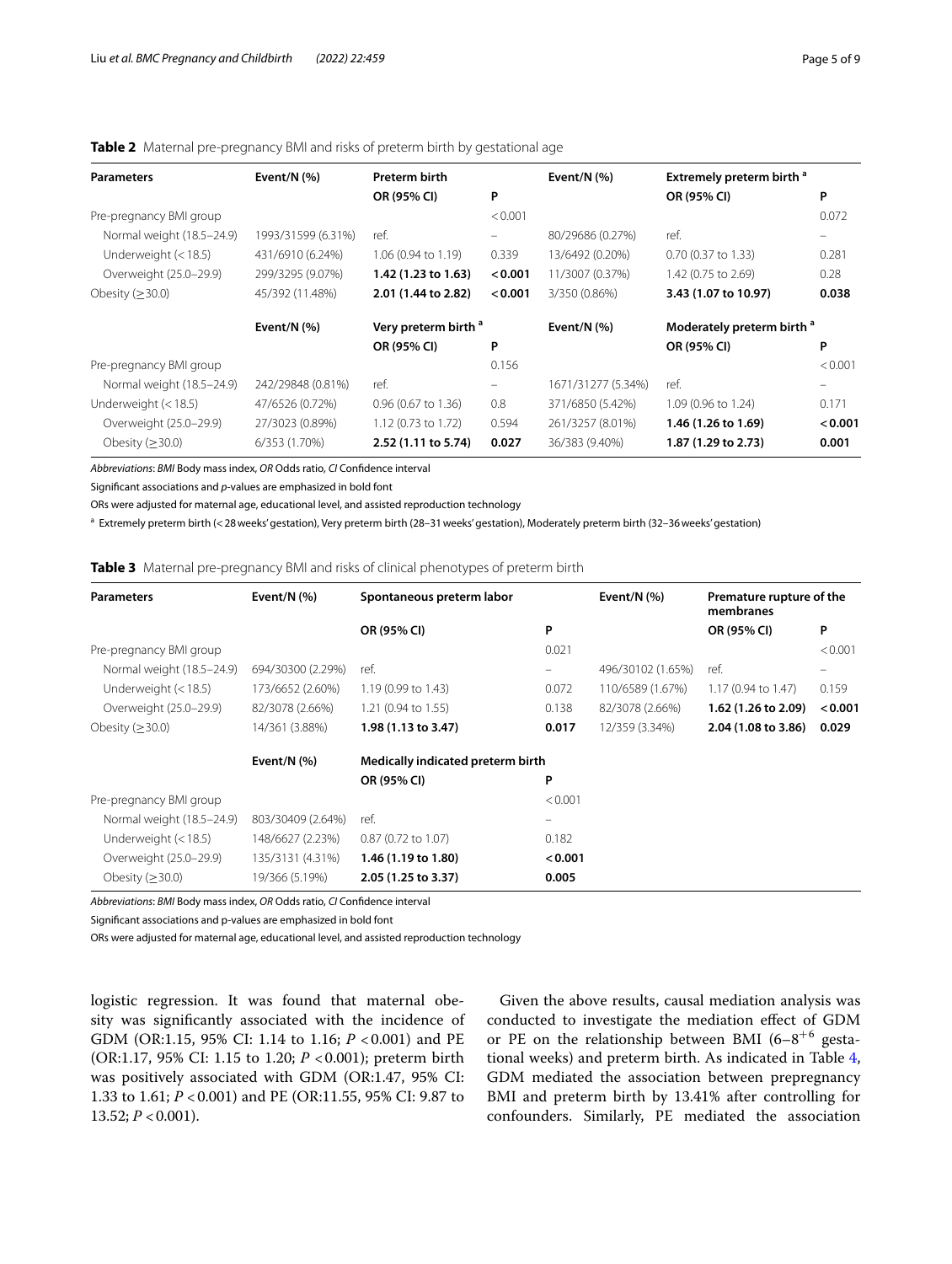# <span id="page-4-0"></span>**Table 2** Maternal pre-pregnancy BMI and risks of preterm birth by gestational age

| <b>Parameters</b>         | Event/N $(% )$     | <b>Preterm birth</b>            |         | Event/N $(%)$      | Extremely preterm birth <sup>a</sup>  |         |
|---------------------------|--------------------|---------------------------------|---------|--------------------|---------------------------------------|---------|
|                           |                    | OR (95% CI)                     | P       |                    | OR (95% CI)                           | P       |
| Pre-pregnancy BMI group   |                    |                                 | < 0.001 |                    |                                       | 0.072   |
| Normal weight (18.5-24.9) | 1993/31599 (6.31%) | ref.                            | -       | 80/29686 (0.27%)   | ref.                                  |         |
| Underweight (< 18.5)      | 431/6910 (6.24%)   | $1.06$ (0.94 to 1.19)           | 0.339   | 13/6492 (0.20%)    | 0.70 (0.37 to 1.33)                   | 0.281   |
| Overweight (25.0-29.9)    | 299/3295 (9.07%)   | 1.42 (1.23 to 1.63)             | < 0.001 | 11/3007 (0.37%)    | 1.42 (0.75 to 2.69)                   | 0.28    |
| Obesity $(\geq 30.0)$     | 45/392 (11.48%)    | 2.01 (1.44 to 2.82)             | < 0.001 | 3/350 (0.86%)      | 3.43 (1.07 to 10.97)                  | 0.038   |
|                           | Event/N $(%)$      | Very preterm birth <sup>a</sup> |         | Event/N $(%)$      | Moderately preterm birth <sup>a</sup> |         |
|                           |                    | OR (95% CI)                     | P       |                    | OR (95% CI)                           | P       |
| Pre-pregnancy BMI group   |                    |                                 | 0.156   |                    |                                       | < 0.001 |
| Normal weight (18.5-24.9) | 242/29848 (0.81%)  | ref.                            | -       | 1671/31277 (5.34%) | ref.                                  |         |
| Underweight $(< 18.5)$    | 47/6526 (0.72%)    | 0.96 (0.67 to 1.36)             | 0.8     | 371/6850 (5.42%)   | 1.09 (0.96 to 1.24)                   | 0.171   |
| Overweight (25.0-29.9)    | 27/3023 (0.89%)    | 1.12 (0.73 to 1.72)             | 0.594   | 261/3257 (8.01%)   | 1.46 (1.26 to 1.69)                   | < 0.001 |
| Obesity ( $\geq$ 30.0)    | 6/353 (1.70%)      | 2.52 (1.11 to 5.74)             | 0.027   | 36/383 (9.40%)     | 1.87 (1.29 to 2.73)                   | 0.001   |

*Abbreviations*: *BMI* Body mass index, *OR* Odds ratio, *CI* Confdence interval

Signifcant associations and *p*-values are emphasized in bold font

ORs were adjusted for maternal age, educational level, and assisted reproduction technology

a Extremely preterm birth (<28weeks' gestation), Very preterm birth (28–31weeks' gestation), Moderately preterm birth (32–36weeks' gestation)

## <span id="page-4-1"></span>**Table 3** Maternal pre-pregnancy BMI and risks of clinical phenotypes of preterm birth

| <b>Parameters</b>         | Event/N $(%)$     | Spontaneous preterm labor         |                   | Event/N $(%)$     | Premature rupture of the<br>membranes |         |
|---------------------------|-------------------|-----------------------------------|-------------------|-------------------|---------------------------------------|---------|
|                           |                   | OR (95% CI)                       | P                 |                   | OR (95% CI)                           | P       |
| Pre-pregnancy BMI group   |                   |                                   | 0.021             |                   |                                       | < 0.001 |
| Normal weight (18.5-24.9) | 694/30300 (2.29%) | ref.                              | $\equiv$          | 496/30102 (1.65%) | ref.                                  |         |
| Underweight $(< 18.5)$    | 173/6652 (2.60%)  | 1.19 (0.99 to 1.43)               | 0.072             | 110/6589 (1.67%)  | 1.17 (0.94 to 1.47)                   | 0.159   |
| Overweight (25.0-29.9)    | 82/3078 (2.66%)   | 1.21 (0.94 to 1.55)               | 0.138             | 82/3078 (2.66%)   | 1.62 (1.26 to 2.09)                   | < 0.001 |
| Obesity $(\geq 30.0)$     | 14/361 (3.88%)    | 1.98 (1.13 to 3.47)               | 0.017             | 12/359 (3.34%)    | 2.04 (1.08 to 3.86)                   | 0.029   |
|                           | Event/N $(%)$     | Medically indicated preterm birth |                   |                   |                                       |         |
|                           |                   | OR (95% CI)                       | P                 |                   |                                       |         |
| Pre-pregnancy BMI group   |                   |                                   | < 0.001           |                   |                                       |         |
| Normal weight (18.5-24.9) | 803/30409 (2.64%) | ref.                              | $\qquad \qquad -$ |                   |                                       |         |
| Underweight $(< 18.5)$    | 148/6627 (2.23%)  | 0.87 (0.72 to 1.07)               | 0.182             |                   |                                       |         |
| Overweight (25.0-29.9)    | 135/3131 (4.31%)  | 1.46 (1.19 to 1.80)               | < 0.001           |                   |                                       |         |
| Obesity $(\geq 30.0)$     | 19/366 (5.19%)    | 2.05 (1.25 to 3.37)               | 0.005             |                   |                                       |         |

*Abbreviations*: *BMI* Body mass index, *OR* Odds ratio, *CI* Confdence interval

Signifcant associations and p-values are emphasized in bold font

ORs were adjusted for maternal age, educational level, and assisted reproduction technology

logistic regression. It was found that maternal obesity was signifcantly associated with the incidence of GDM (OR:1.15, 95% CI: 1.14 to 1.16; *P* < 0.001) and PE (OR:1.17, 95% CI: 1.15 to 1.20; *P* <0.001); preterm birth was positively associated with GDM (OR:1.47, 95% CI: 1.33 to 1.61; *P* <0.001) and PE (OR:11.55, 95% CI: 9.87 to 13.52;  $P < 0.001$ ).

Given the above results, causal mediation analysis was conducted to investigate the mediation efect of GDM or PE on the relationship between BMI  $(6-8)^{+6}$  gestational weeks) and preterm birth. As indicated in Table [4](#page-5-0), GDM mediated the association between prepregnancy BMI and preterm birth by 13.41% after controlling for confounders. Similarly, PE mediated the association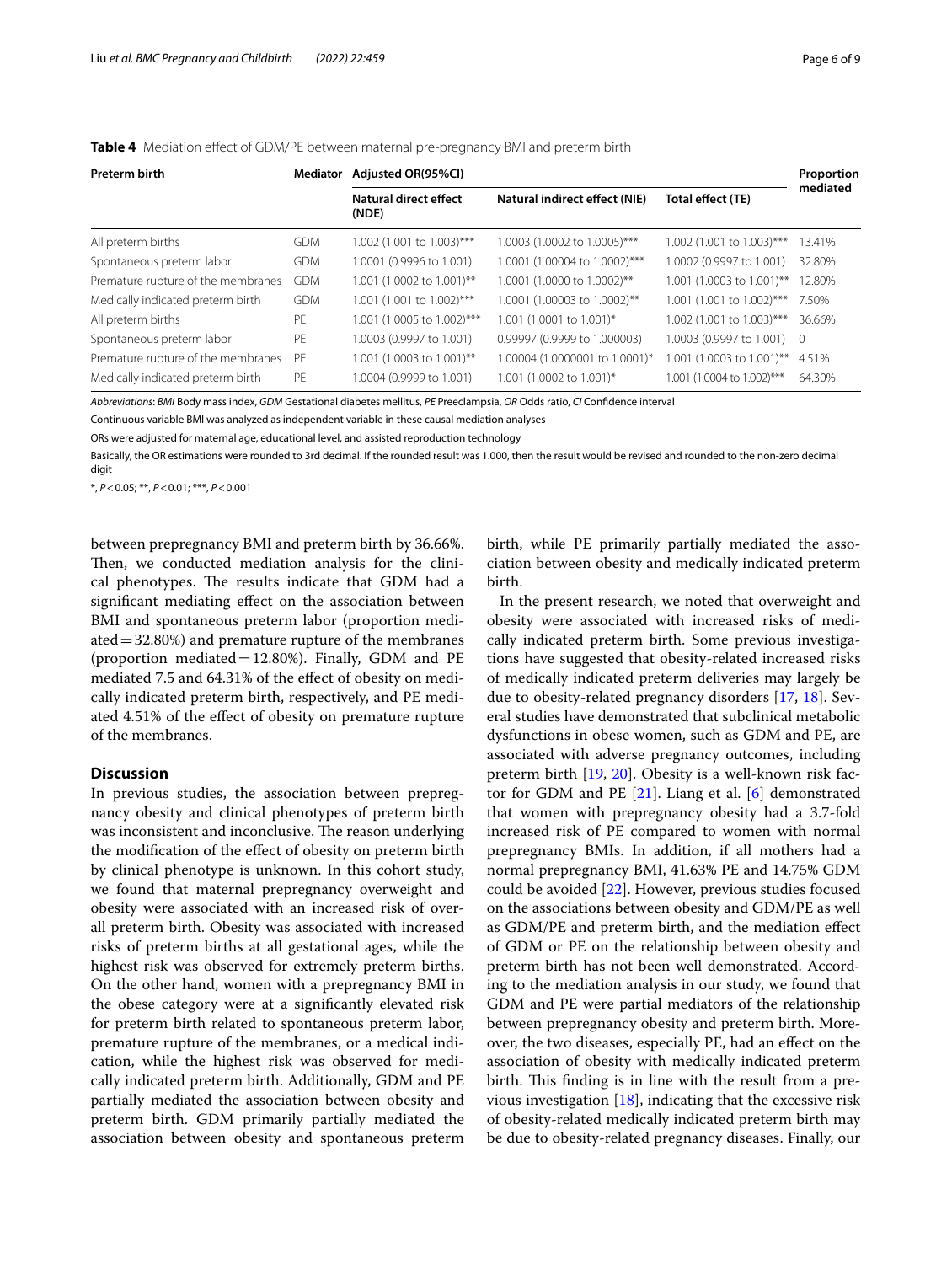<span id="page-5-0"></span>

| <b>Preterm birth</b>               | <b>Mediator</b> | Adjusted OR(95%CI)             |                                |                            |          |  |
|------------------------------------|-----------------|--------------------------------|--------------------------------|----------------------------|----------|--|
|                                    |                 | Natural direct effect<br>(NDE) | Natural indirect effect (NIE)  | Total effect (TE)          | mediated |  |
| All preterm births                 | <b>GDM</b>      | 1.002 (1.001 to 1.003)***      | 1.0003 (1.0002 to 1.0005)***   | 1.002 (1.001 to 1.003)***  | 13.41%   |  |
| Spontaneous preterm labor          | <b>GDM</b>      | 1,0001 (0,9996 to 1,001)       | 1.0001 (1.00004 to 1.0002)***  | 1.0002 (0.9997 to 1.001)   | 32.80%   |  |
| Premature rupture of the membranes | <b>GDM</b>      | 1.001 (1.0002 to 1.001)**      | 1.0001 (1.0000 to 1.0002)**    | 1.001 (1.0003 to 1.001)**  | 12.80%   |  |
| Medically indicated preterm birth  | <b>GDM</b>      | 1.001 (1.001 to 1.002)***      | 1.0001 (1.00003 to 1.0002)**   | 1.001 (1.001 to 1.002)***  | 7.50%    |  |
| All preterm births                 | PF              | 1.001 (1.0005 to 1.002)***     | 1.001 (1.0001 to 1.001)*       | 1.002 (1.001 to 1.003)***  | 36.66%   |  |
| Spontaneous preterm labor          | PF              | 1,0003 (0,9997 to 1,001)       | 0.99997 (0.9999 to 1.000003)   | 1.0003 (0.9997 to 1.001) 0 |          |  |
| Premature rupture of the membranes | PF              | 1.001 (1.0003 to 1.001)**      | 1.00004 (1.0000001 to 1.0001)* | 1.001 (1.0003 to 1.001)**  | 4.51%    |  |
| Medically indicated preterm birth  | PF              | 1.0004 (0.9999 to 1.001)       | 1.001 (1.0002 to 1.001)*       | 1.001 (1.0004 to 1.002)*** | 64.30%   |  |

*Abbreviations*: *BMI* Body mass index, *GDM* Gestational diabetes mellitus, *PE* Preeclampsia, *OR* Odds ratio, *CI* Confdence interval

Continuous variable BMI was analyzed as independent variable in these causal mediation analyses

ORs were adjusted for maternal age, educational level, and assisted reproduction technology

Basically, the OR estimations were rounded to 3rd decimal. If the rounded result was 1.000, then the result would be revised and rounded to the non-zero decimal digit

\*, *P*<0.05; \*\*, *P*<0.01; \*\*\*, *P*<0.001

between prepregnancy BMI and preterm birth by 36.66%. Then, we conducted mediation analysis for the clinical phenotypes. The results indicate that GDM had a signifcant mediating efect on the association between BMI and spontaneous preterm labor (proportion mediated  $=$  32.80%) and premature rupture of the membranes (proportion mediated=12.80%). Finally, GDM and PE mediated 7.5 and 64.31% of the effect of obesity on medically indicated preterm birth, respectively, and PE mediated 4.51% of the efect of obesity on premature rupture of the membranes.

## **Discussion**

In previous studies, the association between prepregnancy obesity and clinical phenotypes of preterm birth was inconsistent and inconclusive. The reason underlying the modifcation of the efect of obesity on preterm birth by clinical phenotype is unknown. In this cohort study, we found that maternal prepregnancy overweight and obesity were associated with an increased risk of overall preterm birth. Obesity was associated with increased risks of preterm births at all gestational ages, while the highest risk was observed for extremely preterm births. On the other hand, women with a prepregnancy BMI in the obese category were at a signifcantly elevated risk for preterm birth related to spontaneous preterm labor, premature rupture of the membranes, or a medical indication, while the highest risk was observed for medically indicated preterm birth. Additionally, GDM and PE partially mediated the association between obesity and preterm birth. GDM primarily partially mediated the association between obesity and spontaneous preterm birth, while PE primarily partially mediated the association between obesity and medically indicated preterm birth.

In the present research, we noted that overweight and obesity were associated with increased risks of medically indicated preterm birth. Some previous investigations have suggested that obesity-related increased risks of medically indicated preterm deliveries may largely be due to obesity-related pregnancy disorders [\[17](#page-7-18), [18](#page-7-19)]. Several studies have demonstrated that subclinical metabolic dysfunctions in obese women, such as GDM and PE, are associated with adverse pregnancy outcomes, including preterm birth [[19,](#page-7-20) [20\]](#page-7-21). Obesity is a well-known risk factor for GDM and PE [[21](#page-7-22)]. Liang et al. [\[6](#page-7-5)] demonstrated that women with prepregnancy obesity had a 3.7-fold increased risk of PE compared to women with normal prepregnancy BMIs. In addition, if all mothers had a normal prepregnancy BMI, 41.63% PE and 14.75% GDM could be avoided [[22](#page-7-23)]. However, previous studies focused on the associations between obesity and GDM/PE as well as GDM/PE and preterm birth, and the mediation efect of GDM or PE on the relationship between obesity and preterm birth has not been well demonstrated. According to the mediation analysis in our study, we found that GDM and PE were partial mediators of the relationship between prepregnancy obesity and preterm birth. Moreover, the two diseases, especially PE, had an efect on the association of obesity with medically indicated preterm birth. This finding is in line with the result from a previous investigation  $[18]$  $[18]$ , indicating that the excessive risk of obesity-related medically indicated preterm birth may be due to obesity-related pregnancy diseases. Finally, our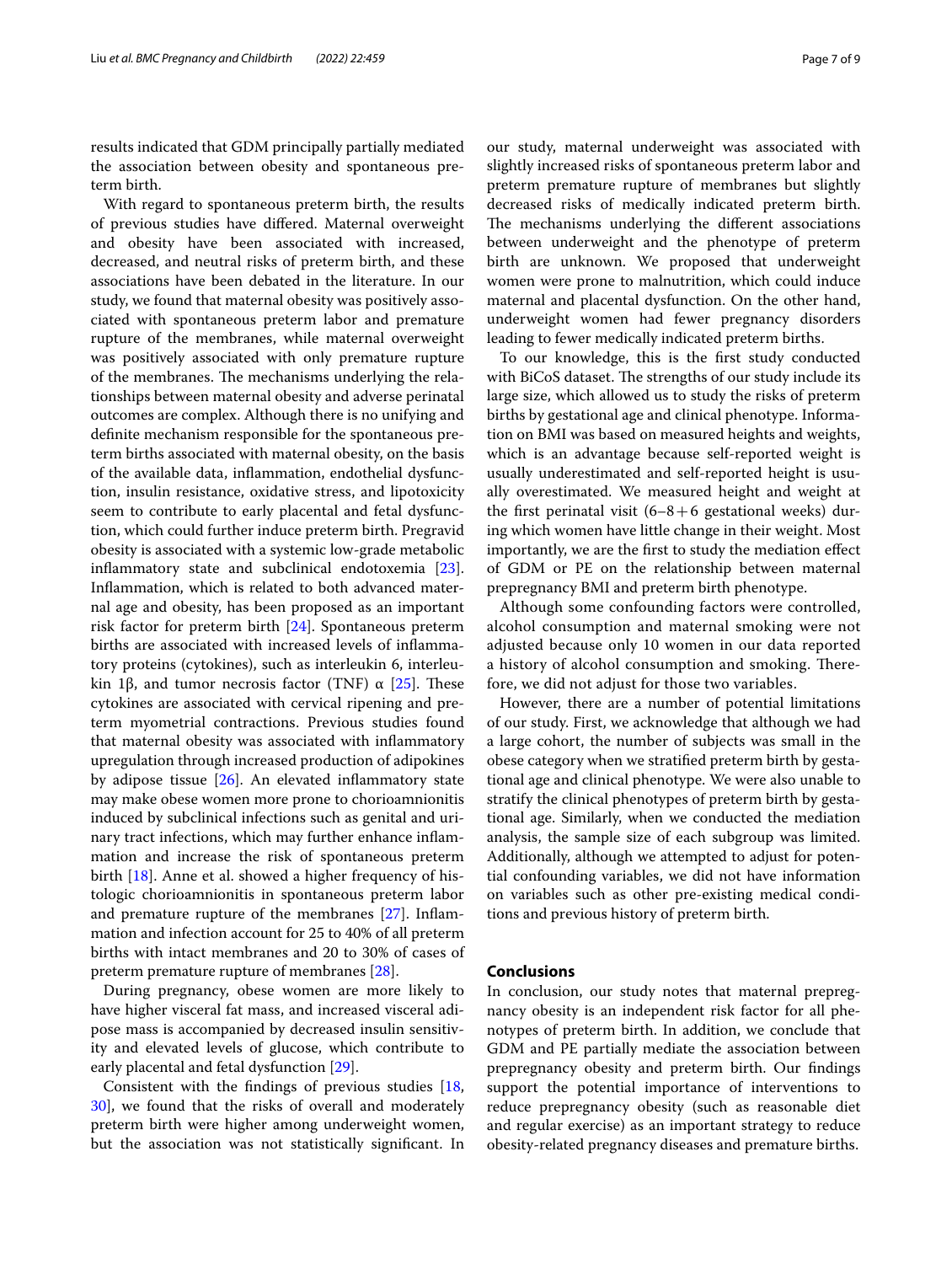results indicated that GDM principally partially mediated the association between obesity and spontaneous preterm birth.

With regard to spontaneous preterm birth, the results of previous studies have difered. Maternal overweight and obesity have been associated with increased, decreased, and neutral risks of preterm birth, and these associations have been debated in the literature. In our study, we found that maternal obesity was positively associated with spontaneous preterm labor and premature rupture of the membranes, while maternal overweight was positively associated with only premature rupture of the membranes. The mechanisms underlying the relationships between maternal obesity and adverse perinatal outcomes are complex. Although there is no unifying and defnite mechanism responsible for the spontaneous preterm births associated with maternal obesity, on the basis of the available data, infammation, endothelial dysfunction, insulin resistance, oxidative stress, and lipotoxicity seem to contribute to early placental and fetal dysfunction, which could further induce preterm birth. Pregravid obesity is associated with a systemic low-grade metabolic infammatory state and subclinical endotoxemia [\[23](#page-7-24)]. Infammation, which is related to both advanced maternal age and obesity, has been proposed as an important risk factor for preterm birth [\[24\]](#page-7-25). Spontaneous preterm births are associated with increased levels of infammatory proteins (cytokines), such as interleukin 6, interleukin 1β, and tumor necrosis factor (TNF)  $\alpha$  [[25](#page-7-26)]. These cytokines are associated with cervical ripening and preterm myometrial contractions. Previous studies found that maternal obesity was associated with infammatory upregulation through increased production of adipokines by adipose tissue  $[26]$ . An elevated inflammatory state may make obese women more prone to chorioamnionitis induced by subclinical infections such as genital and urinary tract infections, which may further enhance infammation and increase the risk of spontaneous preterm birth [\[18\]](#page-7-19). Anne et al. showed a higher frequency of histologic chorioamnionitis in spontaneous preterm labor and premature rupture of the membranes [[27\]](#page-8-1). Infammation and infection account for 25 to 40% of all preterm births with intact membranes and 20 to 30% of cases of preterm premature rupture of membranes [[28](#page-8-2)].

During pregnancy, obese women are more likely to have higher visceral fat mass, and increased visceral adipose mass is accompanied by decreased insulin sensitivity and elevated levels of glucose, which contribute to early placental and fetal dysfunction [\[29](#page-8-3)].

Consistent with the fndings of previous studies [\[18](#page-7-19), [30\]](#page-8-4), we found that the risks of overall and moderately preterm birth were higher among underweight women, but the association was not statistically signifcant. In our study, maternal underweight was associated with slightly increased risks of spontaneous preterm labor and preterm premature rupture of membranes but slightly decreased risks of medically indicated preterm birth. The mechanisms underlying the different associations between underweight and the phenotype of preterm birth are unknown. We proposed that underweight women were prone to malnutrition, which could induce maternal and placental dysfunction. On the other hand, underweight women had fewer pregnancy disorders leading to fewer medically indicated preterm births.

To our knowledge, this is the frst study conducted with BiCoS dataset. The strengths of our study include its large size, which allowed us to study the risks of preterm births by gestational age and clinical phenotype. Information on BMI was based on measured heights and weights, which is an advantage because self-reported weight is usually underestimated and self-reported height is usually overestimated. We measured height and weight at the first perinatal visit  $(6-8+6)$  gestational weeks) during which women have little change in their weight. Most importantly, we are the frst to study the mediation efect of GDM or PE on the relationship between maternal prepregnancy BMI and preterm birth phenotype.

Although some confounding factors were controlled, alcohol consumption and maternal smoking were not adjusted because only 10 women in our data reported a history of alcohol consumption and smoking. Therefore, we did not adjust for those two variables.

However, there are a number of potential limitations of our study. First, we acknowledge that although we had a large cohort, the number of subjects was small in the obese category when we stratifed preterm birth by gestational age and clinical phenotype. We were also unable to stratify the clinical phenotypes of preterm birth by gestational age. Similarly, when we conducted the mediation analysis, the sample size of each subgroup was limited. Additionally, although we attempted to adjust for potential confounding variables, we did not have information on variables such as other pre-existing medical conditions and previous history of preterm birth.

## **Conclusions**

In conclusion, our study notes that maternal prepregnancy obesity is an independent risk factor for all phenotypes of preterm birth. In addition, we conclude that GDM and PE partially mediate the association between prepregnancy obesity and preterm birth. Our fndings support the potential importance of interventions to reduce prepregnancy obesity (such as reasonable diet and regular exercise) as an important strategy to reduce obesity-related pregnancy diseases and premature births.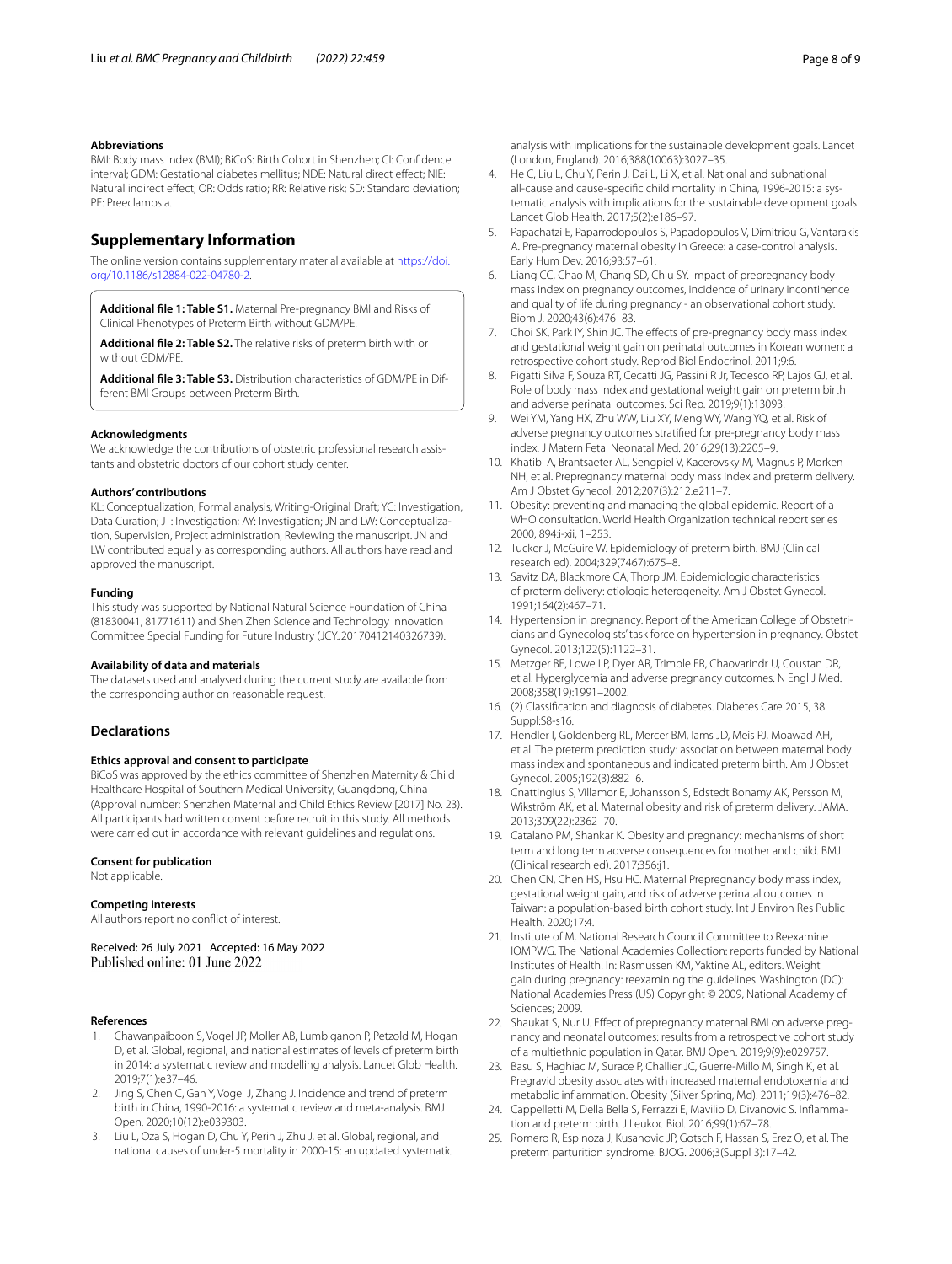#### **Abbreviations**

BMI: Body mass index (BMI); BiCoS: Birth Cohort in Shenzhen; CI: Confdence interval; GDM: Gestational diabetes mellitus; NDE: Natural direct efect; NIE: Natural indirect efect; OR: Odds ratio; RR: Relative risk; SD: Standard deviation; PE: Preeclampsia.

#### **Supplementary Information**

The online version contains supplementary material available at [https://doi.](https://doi.org/10.1186/s12884-022-04780-2) [org/10.1186/s12884-022-04780-2](https://doi.org/10.1186/s12884-022-04780-2).

<span id="page-7-16"></span>**Additional fle 1: Table S1.** Maternal Pre-pregnancy BMI and Risks of Clinical Phenotypes of Preterm Birth without GDM/PE.

<span id="page-7-17"></span>**Additional fle 2: Table S2.** The relative risks of preterm birth with or without GDM/PE.

**Additional fle 3: Table S3.** Distribution characteristics of GDM/PE in Different BMI Groups between Preterm Birth.

#### **Acknowledgments**

We acknowledge the contributions of obstetric professional research assistants and obstetric doctors of our cohort study center.

#### **Authors' contributions**

KL: Conceptualization, Formal analysis, Writing-Original Draft; YC: Investigation, Data Curation; JT: Investigation; AY: Investigation; JN and LW: Conceptualization, Supervision, Project administration, Reviewing the manuscript. JN and LW contributed equally as corresponding authors. All authors have read and approved the manuscript.

#### **Funding**

This study was supported by National Natural Science Foundation of China (81830041, 81771611) and Shen Zhen Science and Technology Innovation Committee Special Funding for Future Industry (JCYJ20170412140326739).

#### **Availability of data and materials**

The datasets used and analysed during the current study are available from the corresponding author on reasonable request.

#### **Declarations**

### **Ethics approval and consent to participate**

BiCoS was approved by the ethics committee of Shenzhen Maternity & Child Healthcare Hospital of Southern Medical University, Guangdong, China (Approval number: Shenzhen Maternal and Child Ethics Review [2017] No. 23). All participants had written consent before recruit in this study. All methods were carried out in accordance with relevant guidelines and regulations.

#### **Consent for publication**

Not applicable.

#### **Competing interests**

All authors report no confict of interest.

Received: 26 July 2021 Accepted: 16 May 2022 Published online: 01 June 2022

#### **References**

- <span id="page-7-0"></span>1. Chawanpaiboon S, Vogel JP, Moller AB, Lumbiganon P, Petzold M, Hogan D, et al. Global, regional, and national estimates of levels of preterm birth in 2014: a systematic review and modelling analysis. Lancet Glob Health. 2019;7(1):e37–46.
- <span id="page-7-1"></span>2. Jing S, Chen C, Gan Y, Vogel J, Zhang J. Incidence and trend of preterm birth in China, 1990-2016: a systematic review and meta-analysis. BMJ Open. 2020;10(12):e039303.
- <span id="page-7-2"></span>3. Liu L, Oza S, Hogan D, Chu Y, Perin J, Zhu J, et al. Global, regional, and national causes of under-5 mortality in 2000-15: an updated systematic

analysis with implications for the sustainable development goals. Lancet (London, England). 2016;388(10063):3027–35.

- <span id="page-7-3"></span>4. He C, Liu L, Chu Y, Perin J, Dai L, Li X, et al. National and subnational all-cause and cause-specifc child mortality in China, 1996-2015: a systematic analysis with implications for the sustainable development goals. Lancet Glob Health. 2017;5(2):e186–97.
- <span id="page-7-4"></span>5. Papachatzi E, Paparrodopoulos S, Papadopoulos V, Dimitriou G, Vantarakis A. Pre-pregnancy maternal obesity in Greece: a case-control analysis. Early Hum Dev. 2016;93:57–61.
- <span id="page-7-5"></span>6. Liang CC, Chao M, Chang SD, Chiu SY. Impact of prepregnancy body mass index on pregnancy outcomes, incidence of urinary incontinence and quality of life during pregnancy - an observational cohort study. Biom J. 2020;43(6):476–83.
- <span id="page-7-6"></span>7. Choi SK, Park IY, Shin JC. The effects of pre-pregnancy body mass index and gestational weight gain on perinatal outcomes in Korean women: a retrospective cohort study. Reprod Biol Endocrinol. 2011;9:6.
- <span id="page-7-7"></span>8. Pigatti Silva F, Souza RT, Cecatti JG, Passini R Jr, Tedesco RP, Lajos GJ, et al. Role of body mass index and gestational weight gain on preterm birth and adverse perinatal outcomes. Sci Rep. 2019;9(1):13093.
- <span id="page-7-8"></span>9. Wei YM, Yang HX, Zhu WW, Liu XY, Meng WY, Wang YQ, et al. Risk of adverse pregnancy outcomes stratifed for pre-pregnancy body mass index. J Matern Fetal Neonatal Med. 2016;29(13):2205–9.
- <span id="page-7-9"></span>10. Khatibi A, Brantsaeter AL, Sengpiel V, Kacerovsky M, Magnus P, Morken NH, et al. Prepregnancy maternal body mass index and preterm delivery. Am J Obstet Gynecol. 2012;207(3):212.e211–7.
- <span id="page-7-10"></span>11. Obesity: preventing and managing the global epidemic. Report of a WHO consultation. World Health Organization technical report series 2000, 894:i-xii, 1–253.
- <span id="page-7-11"></span>12. Tucker J, McGuire W. Epidemiology of preterm birth. BMJ (Clinical research ed). 2004;329(7467):675–8.
- <span id="page-7-12"></span>13. Savitz DA, Blackmore CA, Thorp JM. Epidemiologic characteristics of preterm delivery: etiologic heterogeneity. Am J Obstet Gynecol. 1991;164(2):467–71.
- <span id="page-7-13"></span>14. Hypertension in pregnancy. Report of the American College of Obstetricians and Gynecologists' task force on hypertension in pregnancy. Obstet Gynecol. 2013;122(5):1122–31.
- <span id="page-7-14"></span>15. Metzger BE, Lowe LP, Dyer AR, Trimble ER, Chaovarindr U, Coustan DR, et al. Hyperglycemia and adverse pregnancy outcomes. N Engl J Med. 2008;358(19):1991–2002.
- <span id="page-7-15"></span>16. (2) Classifcation and diagnosis of diabetes. Diabetes Care 2015, 38 Suppl:S8-s16.
- <span id="page-7-18"></span>17. Hendler I, Goldenberg RL, Mercer BM, Iams JD, Meis PJ, Moawad AH, et al. The preterm prediction study: association between maternal body mass index and spontaneous and indicated preterm birth. Am J Obstet Gynecol. 2005;192(3):882–6.
- <span id="page-7-19"></span>18. Cnattingius S, Villamor E, Johansson S, Edstedt Bonamy AK, Persson M, Wikström AK, et al. Maternal obesity and risk of preterm delivery. JAMA. 2013;309(22):2362–70.
- <span id="page-7-20"></span>19. Catalano PM, Shankar K. Obesity and pregnancy: mechanisms of short term and long term adverse consequences for mother and child. BMJ (Clinical research ed). 2017;356:j1.
- <span id="page-7-21"></span>20. Chen CN, Chen HS, Hsu HC. Maternal Prepregnancy body mass index, gestational weight gain, and risk of adverse perinatal outcomes in Taiwan: a population-based birth cohort study. Int J Environ Res Public Health. 2020;17:4.
- <span id="page-7-22"></span>21. Institute of M, National Research Council Committee to Reexamine IOMPWG. The National Academies Collection: reports funded by National Institutes of Health. In: Rasmussen KM, Yaktine AL, editors. Weight gain during pregnancy: reexamining the guidelines. Washington (DC): National Academies Press (US) Copyright © 2009, National Academy of Sciences; 2009.
- <span id="page-7-23"></span>22. Shaukat S, Nur U. Effect of prepregnancy maternal BMI on adverse pregnancy and neonatal outcomes: results from a retrospective cohort study of a multiethnic population in Qatar. BMJ Open. 2019;9(9):e029757.
- <span id="page-7-24"></span>23. Basu S, Haghiac M, Surace P, Challier JC, Guerre-Millo M, Singh K, et al. Pregravid obesity associates with increased maternal endotoxemia and metabolic infammation. Obesity (Silver Spring, Md). 2011;19(3):476–82.
- <span id="page-7-25"></span>24. Cappelletti M, Della Bella S, Ferrazzi E, Mavilio D, Divanovic S. Infammation and preterm birth. J Leukoc Biol. 2016;99(1):67–78.
- <span id="page-7-26"></span>25. Romero R, Espinoza J, Kusanovic JP, Gotsch F, Hassan S, Erez O, et al. The preterm parturition syndrome. BJOG. 2006;3(Suppl 3):17–42.